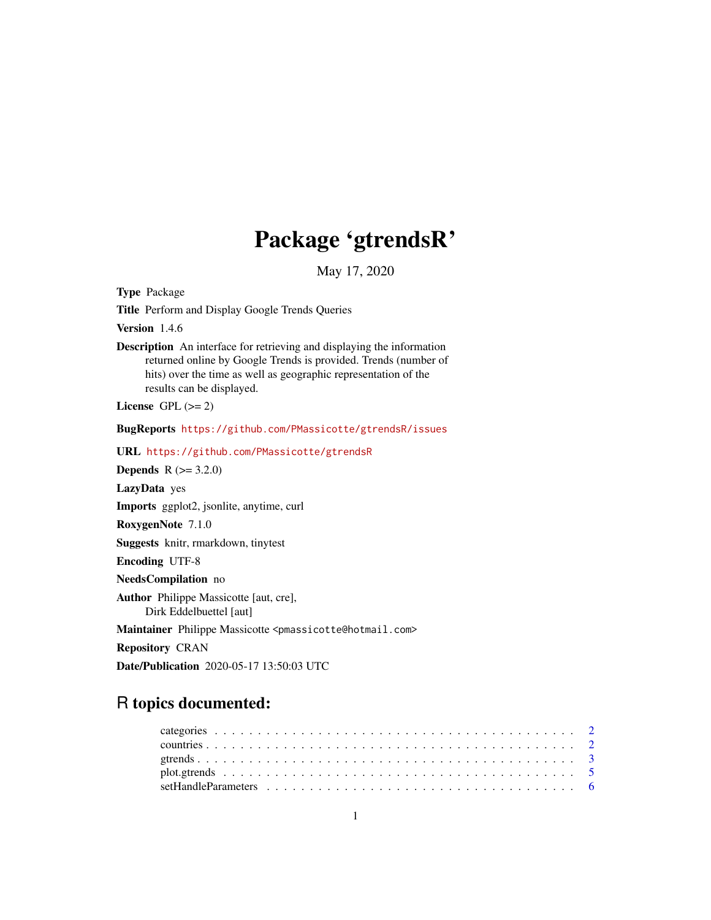## Package 'gtrendsR'

May 17, 2020

Type Package

Title Perform and Display Google Trends Queries

Version 1.4.6

Description An interface for retrieving and displaying the information returned online by Google Trends is provided. Trends (number of hits) over the time as well as geographic representation of the results can be displayed.

License GPL  $(>= 2)$ 

BugReports <https://github.com/PMassicotte/gtrendsR/issues>

URL <https://github.com/PMassicotte/gtrendsR>

**Depends** R  $(>= 3.2.0)$ 

LazyData yes

Imports ggplot2, jsonlite, anytime, curl

RoxygenNote 7.1.0

Suggests knitr, rmarkdown, tinytest

Encoding UTF-8

NeedsCompilation no

Author Philippe Massicotte [aut, cre], Dirk Eddelbuettel [aut]

Maintainer Philippe Massicotte <pmassicotte@hotmail.com>

Repository CRAN

Date/Publication 2020-05-17 13:50:03 UTC

### R topics documented: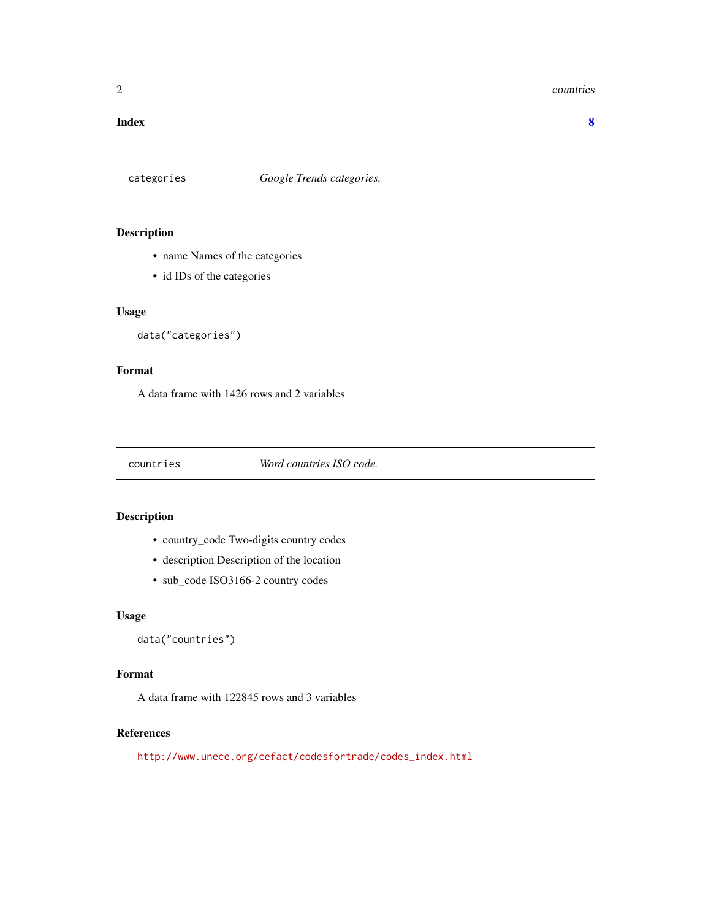#### <span id="page-1-0"></span>2 countries and  $\sim$  countries countries and  $\sim$  countries countries countries

#### **Index** [8](#page-7-0) **8**

#### categories *Google Trends categories.*

#### Description

- name Names of the categories
- id IDs of the categories

#### Usage

```
data("categories")
```
#### Format

A data frame with 1426 rows and 2 variables

countries *Word countries ISO code.*

#### Description

- country\_code Two-digits country codes
- description Description of the location
- sub\_code ISO3166-2 country codes

#### Usage

```
data("countries")
```
#### Format

A data frame with 122845 rows and 3 variables

#### References

[http://www.unece.org/cefact/codesfortrade/codes\\_index.html](http://www.unece.org/cefact/codesfortrade/codes_index.html)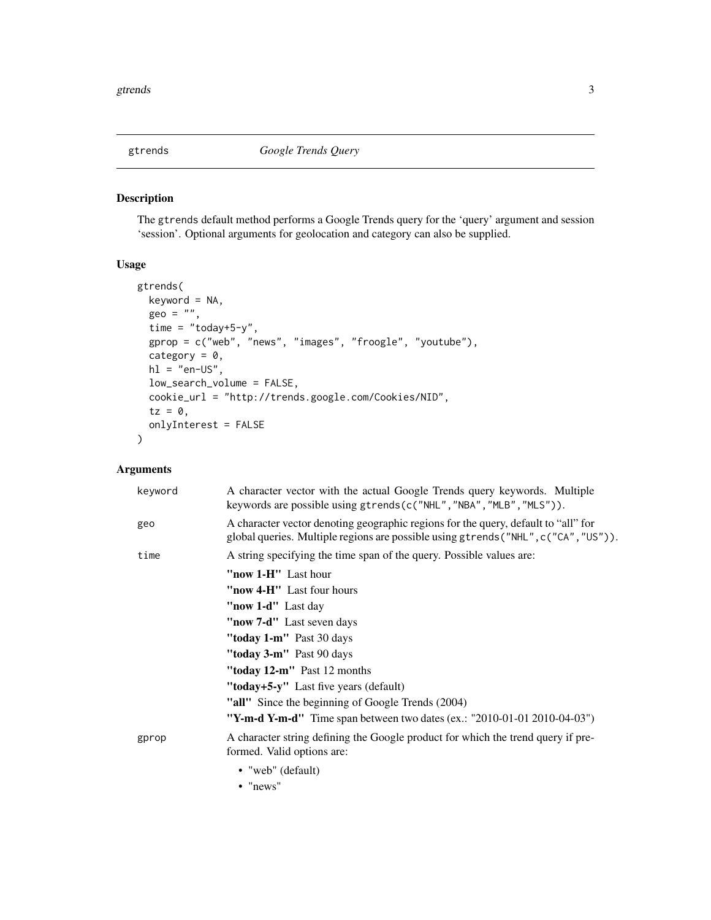<span id="page-2-1"></span><span id="page-2-0"></span>

#### Description

The gtrends default method performs a Google Trends query for the 'query' argument and session 'session'. Optional arguments for geolocation and category can also be supplied.

#### Usage

```
gtrends(
 keyword = NA,
  geo = "",time = "today+5-y",
  gprop = c("web", "news", "images", "froogle", "youtube"),
  category = 0,
 hl = "en-US",low_search_volume = FALSE,
 cookie_url = "http://trends.google.com/Cookies/NID",
  tz = 0,
 onlyInterest = FALSE
\mathcal{L}
```
#### Arguments

| keyword | A character vector with the actual Google Trends query keywords. Multiple<br>keywords are possible using gtrends(c("NHL", "NBA", "MLB", "MLS")).                          |
|---------|---------------------------------------------------------------------------------------------------------------------------------------------------------------------------|
| geo     | A character vector denoting geographic regions for the query, default to "all" for<br>global queries. Multiple regions are possible using gtrends ("NHL", c("CA", "US")). |
| time    | A string specifying the time span of the query. Possible values are:                                                                                                      |
|         | "now 1-H" Last hour                                                                                                                                                       |
|         | "now 4-H" Last four hours"                                                                                                                                                |
|         | "now 1-d" Last day                                                                                                                                                        |
|         | "now 7-d" Last seven days                                                                                                                                                 |
|         | " <b>today 1-m</b> " Past 30 days                                                                                                                                         |
|         | " <b>today 3-m"</b> Past 90 days                                                                                                                                          |
|         | "today $12\text{-}m$ " Past 12 months                                                                                                                                     |
|         | "today+5-y" Last five years (default)                                                                                                                                     |
|         | "all" Since the beginning of Google Trends (2004)                                                                                                                         |
|         | "Y-m-d Y-m-d" Time span between two dates (ex.: "2010-01-01 2010-04-03")                                                                                                  |
| gprop   | A character string defining the Google product for which the trend query if pre-<br>formed. Valid options are:                                                            |
|         | • "web" $(default)$                                                                                                                                                       |
|         | $\bullet$ "news"                                                                                                                                                          |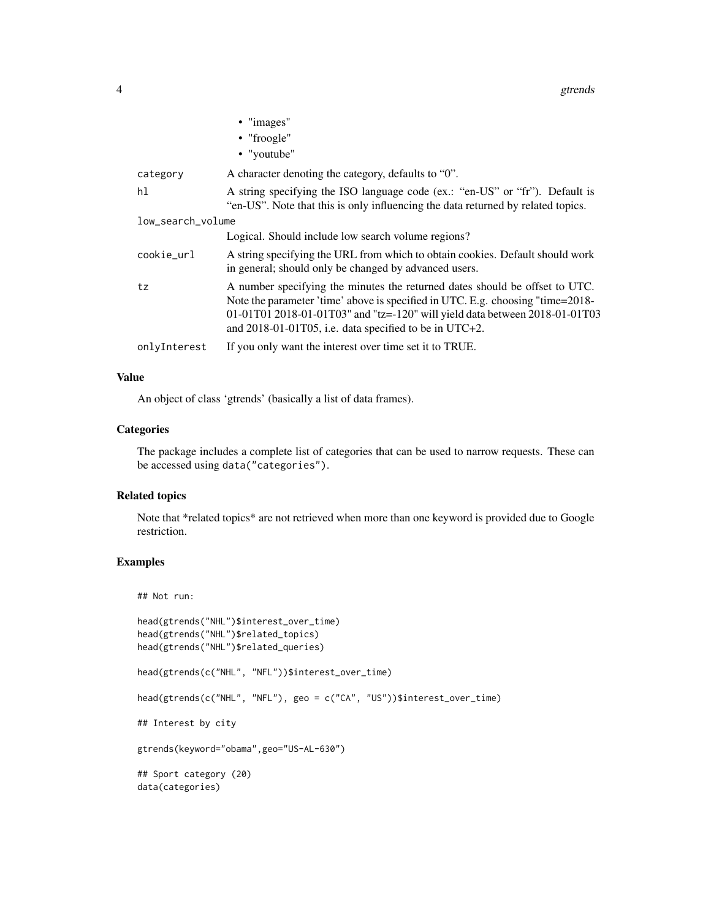#### 4 gtrends and the set of the set of the set of the set of the set of the set of the set of the set of the set of the set of the set of the set of the set of the set of the set of the set of the set of the set of the set of

|                   | • "images"                                                                                                                                                                                                                                                                                                |
|-------------------|-----------------------------------------------------------------------------------------------------------------------------------------------------------------------------------------------------------------------------------------------------------------------------------------------------------|
|                   | $\bullet$ "froogle"                                                                                                                                                                                                                                                                                       |
|                   | • "youtube"                                                                                                                                                                                                                                                                                               |
| category          | A character denoting the category, defaults to "0".                                                                                                                                                                                                                                                       |
| hl                | A string specifying the ISO language code (ex.: "en-US" or "fr"). Default is<br>"en-US". Note that this is only influencing the data returned by related topics.                                                                                                                                          |
| low search volume |                                                                                                                                                                                                                                                                                                           |
|                   | Logical. Should include low search volume regions?                                                                                                                                                                                                                                                        |
| cookie_url        | A string specifying the URL from which to obtain cookies. Default should work<br>in general; should only be changed by advanced users.                                                                                                                                                                    |
| tz                | A number specifying the minutes the returned dates should be offset to UTC.<br>Note the parameter 'time' above is specified in UTC. E.g. choosing "time=2018-<br>01-01T01 2018-01-01T03" and "tz=-120" will yield data between 2018-01-01T03<br>and $2018-01-01T05$ , i.e. data specified to be in UTC+2. |
| onlyInterest      | If you only want the interest over time set it to TRUE.                                                                                                                                                                                                                                                   |

#### Value

An object of class 'gtrends' (basically a list of data frames).

#### **Categories**

The package includes a complete list of categories that can be used to narrow requests. These can be accessed using data("categories").

#### Related topics

Note that \*related topics\* are not retrieved when more than one keyword is provided due to Google restriction.

#### Examples

```
## Not run:
head(gtrends("NHL")$interest_over_time)
head(gtrends("NHL")$related_topics)
head(gtrends("NHL")$related_queries)
head(gtrends(c("NHL", "NFL"))$interest_over_time)
head(gtrends(c("NHL", "NFL"), geo = c("CA", "US"))$interest_over_time)
## Interest by city
gtrends(keyword="obama",geo="US-AL-630")
## Sport category (20)
data(categories)
```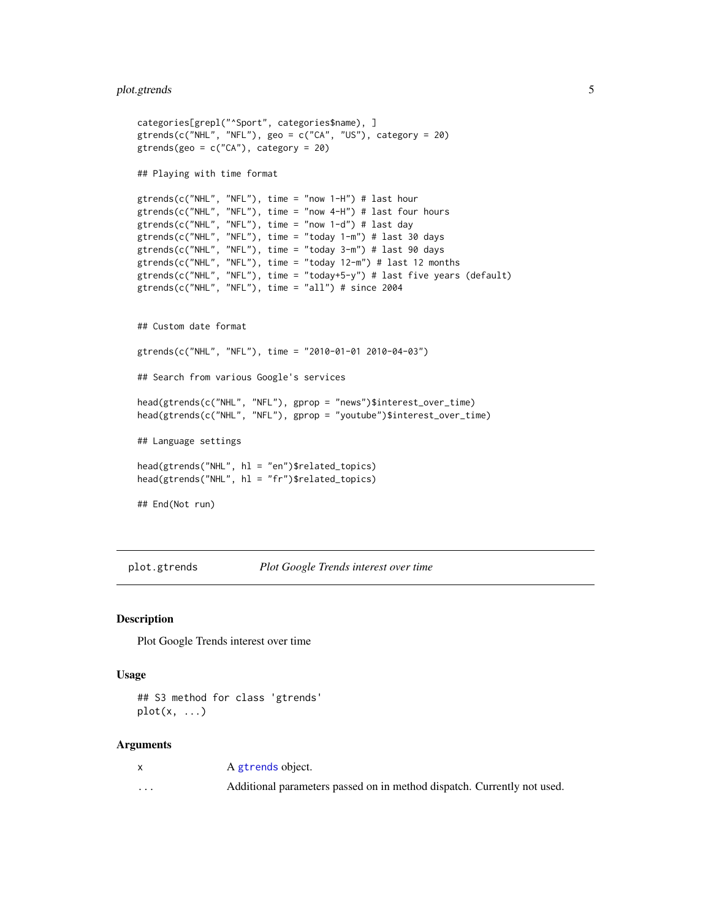#### <span id="page-4-0"></span>plot.gtrends 5

```
categories[grepl("^Sport", categories$name), ]
gtrends(c("NHL", "NFL"), geo = c("CA", "US"), category = 20)
gtrends(geo = c("CA"), category = 20)
## Playing with time format
gtrends(c("NHL", "NFL"), time = "now 1-H") # last hour
gtrends(c("NHL", "NFL"), time = "now 4-H") # last four hours
gtrends(c("NHL", "NFL"), time = "now 1-d") # last day
gtrends(c("NHL", "NFL"), time = "today 1-m") # last 30 days
gtrends(c("NHL", "NFL"), time = "today 3-m") # last 90 days
gtrends(c("NHL", "NFL"), time = "today 12-m") # last 12 months
gtrends(c("NHL", "NFL"), time = "today+5-y") # last five years (default)
gtrends(c("NHL", "NFL"), time = "all") # since 2004
## Custom date format
gtrends(c("NHL", "NFL"), time = "2010-01-01 2010-04-03")
## Search from various Google's services
head(gtrends(c("NHL", "NFL"), gprop = "news")$interest_over_time)
head(gtrends(c("NHL", "NFL"), gprop = "youtube")$interest_over_time)
## Language settings
head(gtrends("NHL", hl = "en")$related_topics)
head(gtrends("NHL", hl = "fr")$related_topics)
## End(Not run)
```
plot.gtrends *Plot Google Trends interest over time*

#### Description

Plot Google Trends interest over time

#### Usage

```
## S3 method for class 'gtrends'
plot(x, \ldots)
```
#### Arguments

|                         | A gtrends object.                                                       |
|-------------------------|-------------------------------------------------------------------------|
| $\cdot$ $\cdot$ $\cdot$ | Additional parameters passed on in method dispatch. Currently not used. |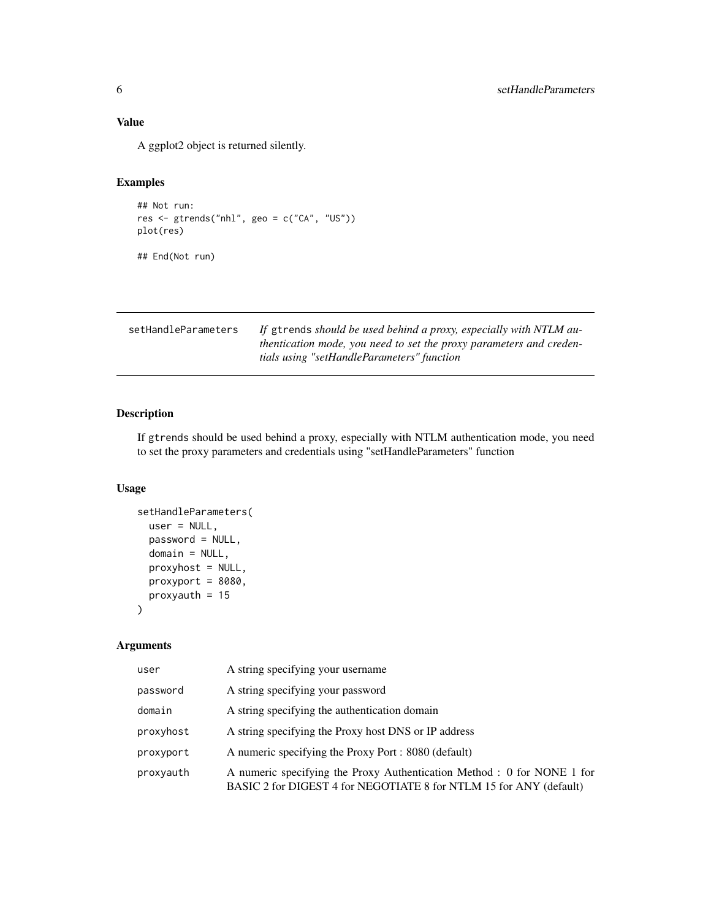#### <span id="page-5-0"></span>Value

A ggplot2 object is returned silently.

#### Examples

```
## Not run:
res <- gtrends("nhl", geo = c("CA", "US"))
plot(res)
```
## End(Not run)

| setHandleParameters | If gtrends should be used behind a proxy, especially with NTLM au-  |
|---------------------|---------------------------------------------------------------------|
|                     | thentication mode, you need to set the proxy parameters and creden- |
|                     | tials using "setHandleParameters" function                          |

#### Description

If gtrends should be used behind a proxy, especially with NTLM authentication mode, you need to set the proxy parameters and credentials using "setHandleParameters" function

#### Usage

```
setHandleParameters(
 user = NULL,
 password = NULL,
 domain = NULL,
 proxyhost = NULL,
 proxyport = 8080,
 proxyauth = 15\mathcal{L}
```
#### Arguments

| user      | A string specifying your username                                                                                                             |
|-----------|-----------------------------------------------------------------------------------------------------------------------------------------------|
| password  | A string specifying your password                                                                                                             |
| domain    | A string specifying the authentication domain                                                                                                 |
| proxyhost | A string specifying the Proxy host DNS or IP address                                                                                          |
| proxyport | A numeric specifying the Proxy Port : 8080 (default)                                                                                          |
| proxyauth | A numeric specifying the Proxy Authentication Method : 0 for NONE 1 for<br>BASIC 2 for DIGEST 4 for NEGOTIATE 8 for NTLM 15 for ANY (default) |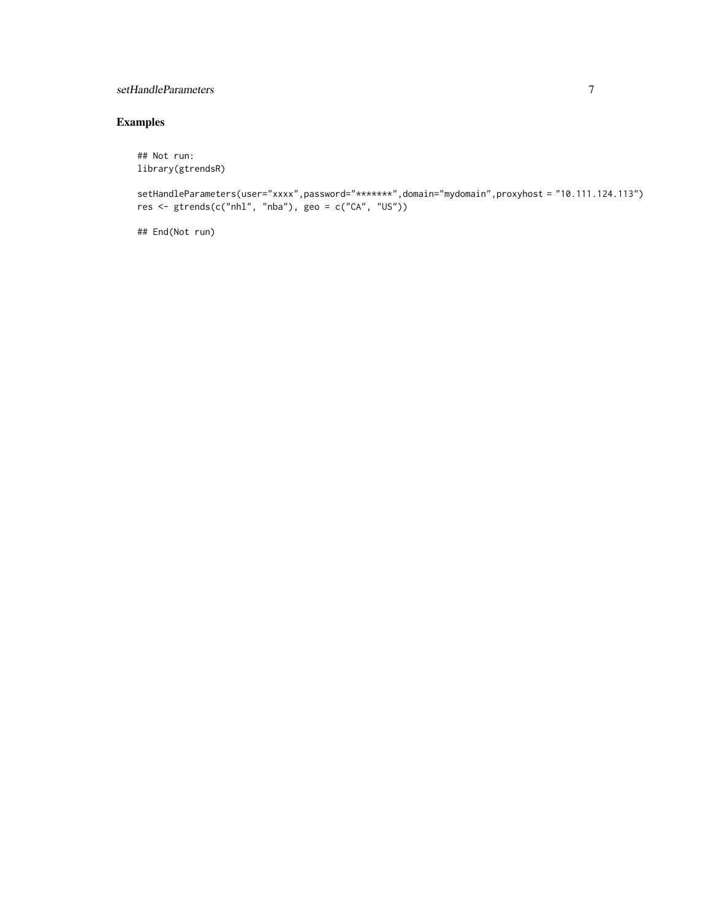#### setHandleParameters 7

#### Examples

## Not run: library(gtrendsR)

```
setHandleParameters(user="xxxx",password="*******",domain="mydomain",proxyhost = "10.111.124.113")
res \leq gtrends(c("nhl", "nba"), geo = c("CA", "US"))
```
## End(Not run)